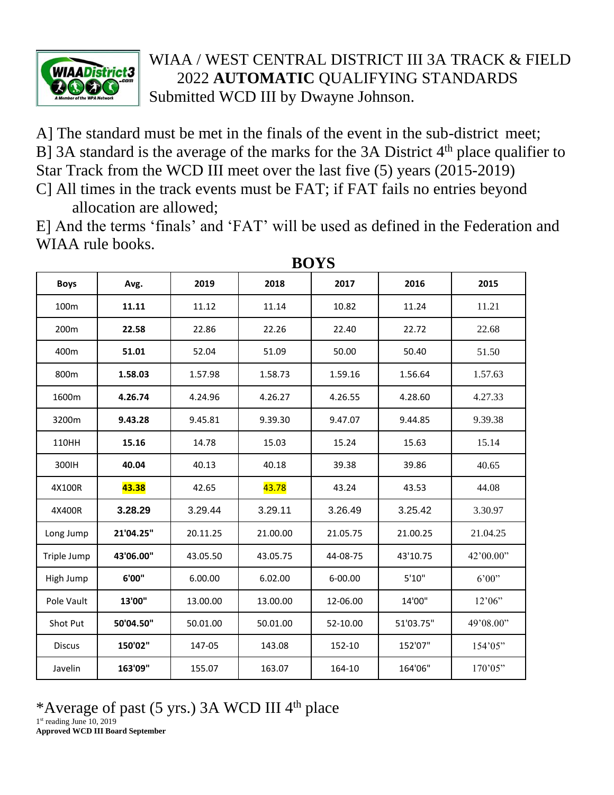

## WIAA / WEST CENTRAL DISTRICT III 3A TRACK & FIELD 2022 **AUTOMATIC** QUALIFYING STANDARDS Submitted WCD III by Dwayne Johnson.

A] The standard must be met in the finals of the event in the sub-district meet; B] 3A standard is the average of the marks for the 3A District  $4<sup>th</sup>$  place qualifier to Star Track from the WCD III meet over the last five (5) years (2015-2019)

C] All times in the track events must be FAT; if FAT fails no entries beyond allocation are allowed;

E] And the terms 'finals' and 'FAT' will be used as defined in the Federation and WIAA rule books.

| <b>Boys</b>   | Avg.      | 2019     | 2018     | 2017     | 2016      | 2015      |  |  |  |
|---------------|-----------|----------|----------|----------|-----------|-----------|--|--|--|
| 100m          | 11.11     | 11.12    | 11.14    | 10.82    | 11.24     | 11.21     |  |  |  |
| 200m          | 22.58     | 22.86    | 22.26    | 22.40    | 22.72     | 22.68     |  |  |  |
| 400m          | 51.01     | 52.04    | 51.09    | 50.00    | 50.40     | 51.50     |  |  |  |
| 800m          | 1.58.03   | 1.57.98  | 1.58.73  | 1.59.16  | 1.56.64   | 1.57.63   |  |  |  |
| 1600m         | 4.26.74   | 4.24.96  | 4.26.27  | 4.26.55  | 4.28.60   | 4.27.33   |  |  |  |
| 3200m         | 9.43.28   | 9.45.81  | 9.39.30  | 9.47.07  | 9.44.85   | 9.39.38   |  |  |  |
| 110HH         | 15.16     | 14.78    | 15.03    | 15.24    | 15.63     | 15.14     |  |  |  |
| 300IH         | 40.04     | 40.13    | 40.18    | 39.38    | 39.86     | 40.65     |  |  |  |
| 4X100R        | 43.38     | 42.65    | 43.78    | 43.24    | 43.53     | 44.08     |  |  |  |
| 4X400R        | 3.28.29   | 3.29.44  | 3.29.11  | 3.26.49  | 3.25.42   | 3.30.97   |  |  |  |
| Long Jump     | 21'04.25" | 20.11.25 | 21.00.00 | 21.05.75 | 21.00.25  | 21.04.25  |  |  |  |
| Triple Jump   | 43'06.00" | 43.05.50 | 43.05.75 | 44-08-75 | 43'10.75  | 42'00.00" |  |  |  |
| High Jump     | 6'00"     | 6.00.00  | 6.02.00  | 6-00.00  | 5'10''    | 6'00"     |  |  |  |
| Pole Vault    | 13'00"    | 13.00.00 | 13.00.00 | 12-06.00 | 14'00"    | 12'06"    |  |  |  |
| Shot Put      | 50'04.50" | 50.01.00 | 50.01.00 | 52-10.00 | 51'03.75" | 49'08.00" |  |  |  |
| <b>Discus</b> | 150'02"   | 147-05   | 143.08   | 152-10   | 152'07"   | 154'05"   |  |  |  |
| Javelin       | 163'09"   | 155.07   | 163.07   | 164-10   | 164'06"   | 170'05"   |  |  |  |

**BOYS**

## \*Average of past (5 yrs.) 3A WCD III  $4<sup>th</sup>$  place

1st reading June 10, 2019 **Approved WCD III Board September**